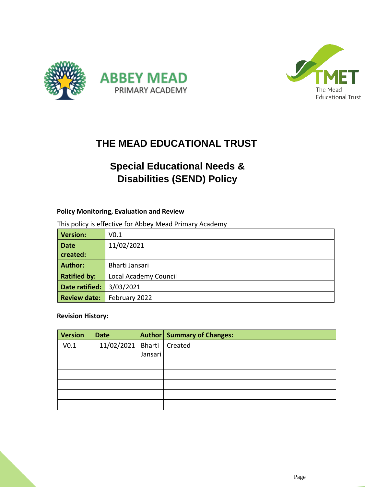



## **THE MEAD EDUCATIONAL TRUST**

# **Special Educational Needs & Disabilities (SEND) Policy**

#### **Policy Monitoring, Evaluation and Review**

This policy is effective for Abbey Mead Primary Academy

| <b>Version:</b>     | V0.1                  |
|---------------------|-----------------------|
| <b>Date</b>         | 11/02/2021            |
| created:            |                       |
| <b>Author:</b>      | Bharti Jansari        |
| <b>Ratified by:</b> | Local Academy Council |
| Date ratified:      | 3/03/2021             |
| <b>Review date:</b> | February 2022         |

#### **Revision History:**

| <b>Version</b>   | <b>Date</b>                 |         | <b>Author   Summary of Changes:</b> |
|------------------|-----------------------------|---------|-------------------------------------|
| V <sub>0.1</sub> | 11/02/2021 Bharti   Created |         |                                     |
|                  |                             | Jansari |                                     |
|                  |                             |         |                                     |
|                  |                             |         |                                     |
|                  |                             |         |                                     |
|                  |                             |         |                                     |
|                  |                             |         |                                     |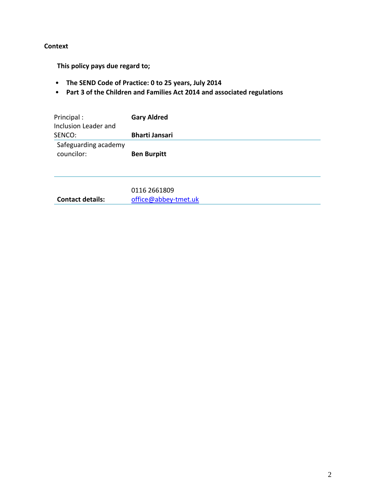#### **Context**

**This policy pays due regard to;**

- **The SEND Code of Practice: 0 to 25 years, July 2014**
- **Part 3 of the Children and Families Act 2014 and associated regulations**

| Principal :<br>Inclusion Leader and | <b>Gary Aldred</b>    |
|-------------------------------------|-----------------------|
| SENCO:                              | <b>Bharti Jansari</b> |
| Safeguarding academy<br>councilor:  | <b>Ben Burpitt</b>    |
|                                     | 0116 2661809          |

**Contact details:** [office@abbey-tmet.uk](mailto:office@abbey-tmet.uk)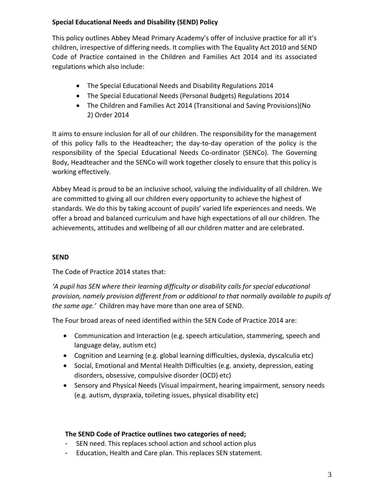#### **Special Educational Needs and Disability (SEND) Policy**

This policy outlines Abbey Mead Primary Academy's offer of inclusive practice for all it's children, irrespective of differing needs. It complies with The Equality Act 2010 and SEND Code of Practice contained in the Children and Families Act 2014 and its associated regulations which also include:

- The Special Educational Needs and Disability Regulations 2014
- The Special Educational Needs (Personal Budgets) Regulations 2014
- The Children and Families Act 2014 (Transitional and Saving Provisions)(No 2) Order 2014

It aims to ensure inclusion for all of our children. The responsibility for the management of this policy falls to the Headteacher; the day-to-day operation of the policy is the responsibility of the Special Educational Needs Co-ordinator (SENCo). The Governing Body, Headteacher and the SENCo will work together closely to ensure that this policy is working effectively.

Abbey Mead is proud to be an inclusive school, valuing the individuality of all children. We are committed to giving all our children every opportunity to achieve the highest of standards. We do this by taking account of pupils' varied life experiences and needs. We offer a broad and balanced curriculum and have high expectations of all our children. The achievements, attitudes and wellbeing of all our children matter and are celebrated.

### **SEND**

The Code of Practice 2014 states that:

*'A pupil has SEN where their learning difficulty or disability calls for special educational provision, namely provision different from or additional to that normally available to pupils of the same age.'* Children may have more than one area of SEND.

The Four broad areas of need identified within the SEN Code of Practice 2014 are:

- Communication and Interaction (e.g. speech articulation, stammering, speech and language delay, autism etc)
- Cognition and Learning (e.g. global learning difficulties, dyslexia, dyscalculia etc)
- Social, Emotional and Mental Health Difficulties (e.g. anxiety, depression, eating disorders, obsessive, compulsive disorder (OCD) etc)
- Sensory and Physical Needs (Visual impairment, hearing impairment, sensory needs (e.g. autism, dyspraxia, toileting issues, physical disability etc)

#### **The SEND Code of Practice outlines two categories of need;**

- SEN need. This replaces school action and school action plus
- Education, Health and Care plan. This replaces SEN statement.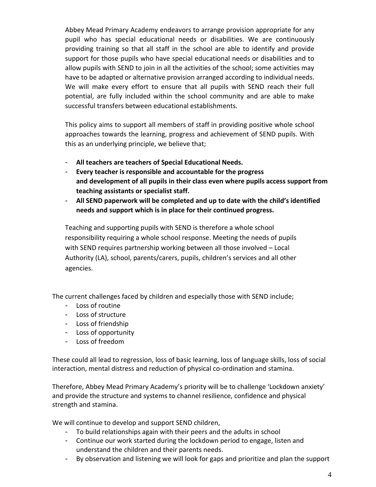Abbey Mead Primary Academy endeavors to arrange provision appropriate for any pupil who has special educational needs or disabilities. We are continuously providing training so that all staff in the school are able to identify and provide support for those pupils who have special educational needs or disabilities and to allow pupils with SEND to join in all the activities of the school; some activities may have to be adapted or alternative provision arranged according to individual needs. We will make every effort to ensure that all pupils with SEND reach their full potential, are fully included within the school community and are able to make successful transfers between educational establishments.

This policy aims to support all members of staff in providing positive whole school approaches towards the learning, progress and achievement of SEND pupils. With this as an underlying principle, we believe that;

- **All teachers are teachers of Special Educational Needs.**
- **Every teacher is responsible and accountable for the progress and development of all pupils in their class even where pupils access support from teaching assistants or specialist staff.**
- **All SEND paperwork will be completed and up to date with the child's identified needs and support which is in place for their continued progress.**

Teaching and supporting pupils with SEND is therefore a whole school responsibility requiring a whole school response. Meeting the needs of pupils with SEND requires partnership working between all those involved – Local Authority (LA), school, parents/carers, pupils, children's services and all other agencies.

The current challenges faced by children and especially those with SEND include;

- Loss of routine
- Loss of structure
- Loss of friendship
- Loss of opportunity
- Loss of freedom

These could all lead to regression, loss of basic learning, loss of language skills, loss of social interaction, mental distress and reduction of physical co-ordination and stamina.

Therefore, Abbey Mead Primary Academy's priority will be to challenge 'Lockdown anxiety' and provide the structure and systems to channel resilience, confidence and physical strength and stamina.

We will continue to develop and support SEND children,

- To build relationships again with their peers and the adults in school
- Continue our work started during the lockdown period to engage, listen and understand the children and their parents needs.
- By observation and listening we will look for gaps and prioritize and plan the support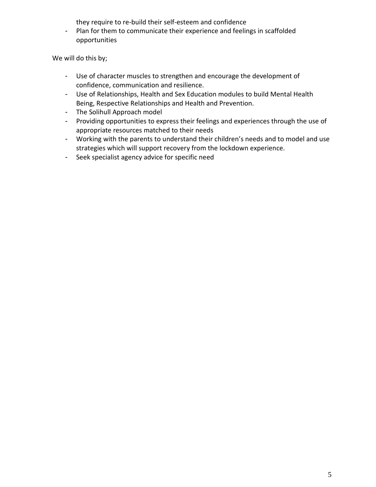they require to re-build their self-esteem and confidence

- Plan for them to communicate their experience and feelings in scaffolded opportunities

We will do this by;

- Use of character muscles to strengthen and encourage the development of confidence, communication and resilience.
- Use of Relationships, Health and Sex Education modules to build Mental Health Being, Respective Relationships and Health and Prevention.
- The Solihull Approach model
- Providing opportunities to express their feelings and experiences through the use of appropriate resources matched to their needs
- Working with the parents to understand their children's needs and to model and use strategies which will support recovery from the lockdown experience.
- Seek specialist agency advice for specific need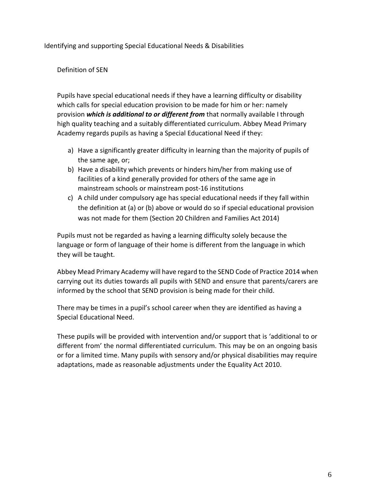Identifying and supporting Special Educational Needs & Disabilities

#### Definition of SEN

Pupils have special educational needs if they have a learning difficulty or disability which calls for special education provision to be made for him or her: namely provision *which is additional to or different from* that normally available I through high quality teaching and a suitably differentiated curriculum. Abbey Mead Primary Academy regards pupils as having a Special Educational Need if they:

- a) Have a significantly greater difficulty in learning than the majority of pupils of the same age, or;
- b) Have a disability which prevents or hinders him/her from making use of facilities of a kind generally provided for others of the same age in mainstream schools or mainstream post-16 institutions
- c) A child under compulsory age has special educational needs if they fall within the definition at (a) or (b) above or would do so if special educational provision was not made for them (Section 20 Children and Families Act 2014)

Pupils must not be regarded as having a learning difficulty solely because the language or form of language of their home is different from the language in which they will be taught.

Abbey Mead Primary Academy will have regard to the SEND Code of Practice 2014 when carrying out its duties towards all pupils with SEND and ensure that parents/carers are informed by the school that SEND provision is being made for their child.

There may be times in a pupil's school career when they are identified as having a Special Educational Need.

These pupils will be provided with intervention and/or support that is 'additional to or different from' the normal differentiated curriculum. This may be on an ongoing basis or for a limited time. Many pupils with sensory and/or physical disabilities may require adaptations, made as reasonable adjustments under the Equality Act 2010.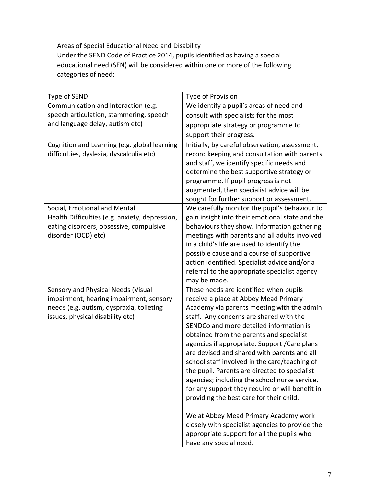Areas of Special Educational Need and Disability Under the SEND Code of Practice 2014, pupils identified as having a special educational need (SEN) will be considered within one or more of the following categories of need:

| Type of SEND                                                   | Type of Provision                                                                                |
|----------------------------------------------------------------|--------------------------------------------------------------------------------------------------|
| Communication and Interaction (e.g.                            | We identify a pupil's areas of need and                                                          |
| speech articulation, stammering, speech                        | consult with specialists for the most                                                            |
| and language delay, autism etc)                                | appropriate strategy or programme to                                                             |
|                                                                | support their progress.                                                                          |
| Cognition and Learning (e.g. global learning                   | Initially, by careful observation, assessment,                                                   |
| difficulties, dyslexia, dyscalculia etc)                       | record keeping and consultation with parents                                                     |
|                                                                | and staff, we identify specific needs and                                                        |
|                                                                | determine the best supportive strategy or                                                        |
|                                                                | programme. If pupil progress is not                                                              |
|                                                                | augmented, then specialist advice will be                                                        |
|                                                                | sought for further support or assessment.                                                        |
| Social, Emotional and Mental                                   | We carefully monitor the pupil's behaviour to                                                    |
| Health Difficulties (e.g. anxiety, depression,                 | gain insight into their emotional state and the                                                  |
| eating disorders, obsessive, compulsive<br>disorder (OCD) etc) | behaviours they show. Information gathering<br>meetings with parents and all adults involved     |
|                                                                | in a child's life are used to identify the                                                       |
|                                                                | possible cause and a course of supportive                                                        |
|                                                                | action identified. Specialist advice and/or a                                                    |
|                                                                | referral to the appropriate specialist agency                                                    |
|                                                                | may be made.                                                                                     |
| Sensory and Physical Needs (Visual                             | These needs are identified when pupils                                                           |
| impairment, hearing impairment, sensory                        | receive a place at Abbey Mead Primary                                                            |
| needs (e.g. autism, dyspraxia, toileting                       | Academy via parents meeting with the admin                                                       |
| issues, physical disability etc)                               | staff. Any concerns are shared with the                                                          |
|                                                                | SENDCo and more detailed information is                                                          |
|                                                                | obtained from the parents and specialist                                                         |
|                                                                | agencies if appropriate. Support / Care plans                                                    |
|                                                                | are devised and shared with parents and all                                                      |
|                                                                | school staff involved in the care/teaching of                                                    |
|                                                                | the pupil. Parents are directed to specialist                                                    |
|                                                                | agencies; including the school nurse service,<br>for any support they require or will benefit in |
|                                                                | providing the best care for their child.                                                         |
|                                                                |                                                                                                  |
|                                                                | We at Abbey Mead Primary Academy work                                                            |
|                                                                | closely with specialist agencies to provide the                                                  |
|                                                                | appropriate support for all the pupils who                                                       |
|                                                                | have any special need.                                                                           |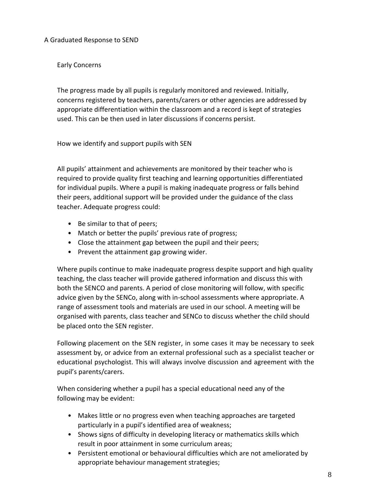A Graduated Response to SEND

Early Concerns

The progress made by all pupils is regularly monitored and reviewed. Initially, concerns registered by teachers, parents/carers or other agencies are addressed by appropriate differentiation within the classroom and a record is kept of strategies used. This can be then used in later discussions if concerns persist.

How we identify and support pupils with SEN

All pupils' attainment and achievements are monitored by their teacher who is required to provide quality first teaching and learning opportunities differentiated for individual pupils. Where a pupil is making inadequate progress or falls behind their peers, additional support will be provided under the guidance of the class teacher. Adequate progress could:

- Be similar to that of peers;
- Match or better the pupils' previous rate of progress;
- Close the attainment gap between the pupil and their peers;
- Prevent the attainment gap growing wider.

Where pupils continue to make inadequate progress despite support and high quality teaching, the class teacher will provide gathered information and discuss this with both the SENCO and parents. A period of close monitoring will follow, with specific advice given by the SENCo, along with in-school assessments where appropriate. A range of assessment tools and materials are used in our school. A meeting will be organised with parents, class teacher and SENCo to discuss whether the child should be placed onto the SEN register.

Following placement on the SEN register, in some cases it may be necessary to seek assessment by, or advice from an external professional such as a specialist teacher or educational psychologist. This will always involve discussion and agreement with the pupil's parents/carers.

When considering whether a pupil has a special educational need any of the following may be evident:

- Makes little or no progress even when teaching approaches are targeted particularly in a pupil's identified area of weakness;
- Shows signs of difficulty in developing literacy or mathematics skills which result in poor attainment in some curriculum areas;
- Persistent emotional or behavioural difficulties which are not ameliorated by appropriate behaviour management strategies;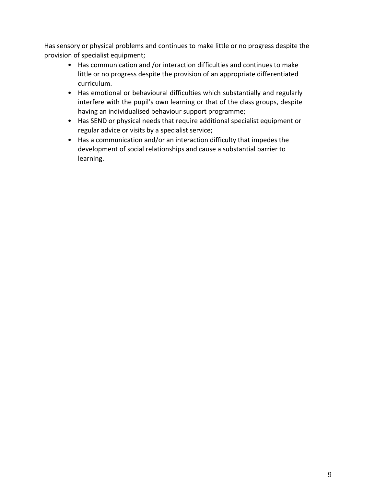Has sensory or physical problems and continues to make little or no progress despite the provision of specialist equipment;

- Has communication and /or interaction difficulties and continues to make little or no progress despite the provision of an appropriate differentiated curriculum.
- Has emotional or behavioural difficulties which substantially and regularly interfere with the pupil's own learning or that of the class groups, despite having an individualised behaviour support programme;
- Has SEND or physical needs that require additional specialist equipment or regular advice or visits by a specialist service;
- Has a communication and/or an interaction difficulty that impedes the development of social relationships and cause a substantial barrier to learning.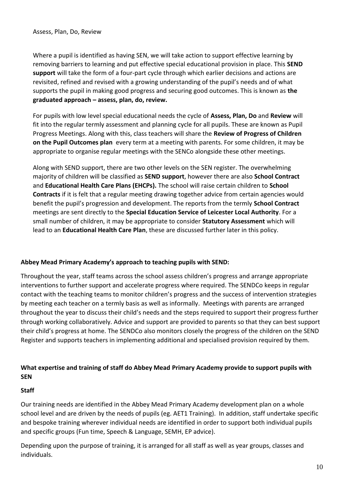Where a pupil is identified as having SEN, we will take action to support effective learning by removing barriers to learning and put effective special educational provision in place. This **SEND support** will take the form of a four-part cycle through which earlier decisions and actions are revisited, refined and revised with a growing understanding of the pupil's needs and of what supports the pupil in making good progress and securing good outcomes. This is known as **the graduated approach – assess, plan, do, review.**

For pupils with low level special educational needs the cycle of **Assess, Plan, Do** and **Review** will fit into the regular termly assessment and planning cycle for all pupils. These are known as Pupil Progress Meetings. Along with this, class teachers will share the **Review of Progress of Children on the Pupil Outcomes plan** every term at a meeting with parents. For some children, it may be appropriate to organise regular meetings with the SENCo alongside these other meetings.

Along with SEND support, there are two other levels on the SEN register. The overwhelming majority of children will be classified as **SEND support**, however there are also **School Contract** and **Educational Health Care Plans (EHCPs).** The school will raise certain children to **School Contracts** if it is felt that a regular meeting drawing together advice from certain agencies would benefit the pupil's progression and development. The reports from the termly **School Contract** meetings are sent directly to the **Special Education Service of Leicester Local Authority**. For a small number of children, it may be appropriate to consider **Statutory Assessment** which will lead to an **Educational Health Care Plan**, these are discussed further later in this policy.

#### **Abbey Mead Primary Academy's approach to teaching pupils with SEND:**

Throughout the year, staff teams across the school assess children's progress and arrange appropriate interventions to further support and accelerate progress where required. The SENDCo keeps in regular contact with the teaching teams to monitor children's progress and the success of intervention strategies by meeting each teacher on a termly basis as well as informally. Meetings with parents are arranged throughout the year to discuss their child's needs and the steps required to support their progress further through working collaboratively. Advice and support are provided to parents so that they can best support their child's progress at home. The SENDCo also monitors closely the progress of the children on the SEND Register and supports teachers in implementing additional and specialised provision required by them.

### **What expertise and training of staff do Abbey Mead Primary Academy provide to support pupils with SEN**

#### **Staff**

Our training needs are identified in the Abbey Mead Primary Academy development plan on a whole school level and are driven by the needs of pupils (eg. AET1 Training). In addition, staff undertake specific and bespoke training wherever individual needs are identified in order to support both individual pupils and specific groups (Fun time, Speech & Language, SEMH, EP advice).

Depending upon the purpose of training, it is arranged for all staff as well as year groups, classes and individuals.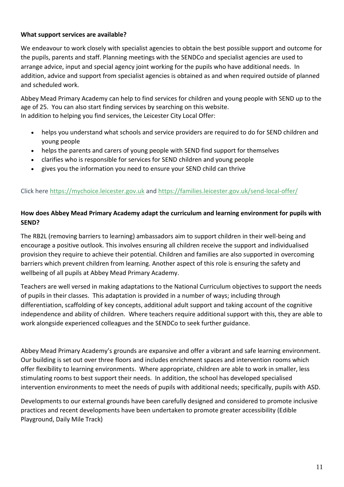#### **What support services are available?**

We endeavour to work closely with specialist agencies to obtain the best possible support and outcome for the pupils, parents and staff. Planning meetings with the SENDCo and specialist agencies are used to arrange advice, input and special agency joint working for the pupils who have additional needs. In addition, advice and support from specialist agencies is obtained as and when required outside of planned and scheduled work.

Abbey Mead Primary Academy can help to find services for children and young people with SEND up to the age of 25. You can also start finding services by searching on this website. In addition to helping you find services, the Leicester City Local Offer:

- helps you understand what schools and service providers are required to do for SEND children and young people
- helps the parents and carers of young people with SEND find support for themselves
- clarifies who is responsible for services for SEND children and young people
- gives you the information you need to ensure your SEND child can thrive

#### Click here [https://mychoice.leicester.gov.uk](https://mychoice.leicester.gov.uk/) and <https://families.leicester.gov.uk/send-local-offer/>

#### **How does Abbey Mead Primary Academy adapt the curriculum and learning environment for pupils with SEND?**

The RB2L (removing barriers to learning) ambassadors aim to support children in their well-being and encourage a positive outlook. This involves ensuring all children receive the support and individualised provision they require to achieve their potential. Children and families are also supported in overcoming barriers which prevent children from learning. Another aspect of this role is ensuring the safety and wellbeing of all pupils at Abbey Mead Primary Academy.

Teachers are well versed in making adaptations to the National Curriculum objectives to support the needs of pupils in their classes. This adaptation is provided in a number of ways; including through differentiation, scaffolding of key concepts, additional adult support and taking account of the cognitive independence and ability of children. Where teachers require additional support with this, they are able to work alongside experienced colleagues and the SENDCo to seek further guidance.

Abbey Mead Primary Academy's grounds are expansive and offer a vibrant and safe learning environment. Our building is set out over three floors and includes enrichment spaces and intervention rooms which offer flexibility to learning environments. Where appropriate, children are able to work in smaller, less stimulating rooms to best support their needs. In addition, the school has developed specialised intervention environments to meet the needs of pupils with additional needs; specifically, pupils with ASD.

Developments to our external grounds have been carefully designed and considered to promote inclusive practices and recent developments have been undertaken to promote greater accessibility (Edible Playground, Daily Mile Track)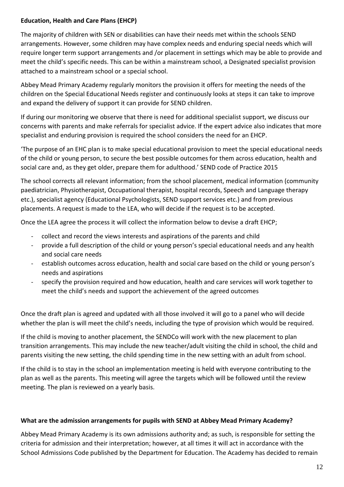#### **Education, Health and Care Plans (EHCP)**

The majority of children with SEN or disabilities can have their needs met within the schools SEND arrangements. However, some children may have complex needs and enduring special needs which will require longer term support arrangements and /or placement in settings which may be able to provide and meet the child's specific needs. This can be within a mainstream school, a Designated specialist provision attached to a mainstream school or a special school.

Abbey Mead Primary Academy regularly monitors the provision it offers for meeting the needs of the children on the Special Educational Needs register and continuously looks at steps it can take to improve and expand the delivery of support it can provide for SEND children.

If during our monitoring we observe that there is need for additional specialist support, we discuss our concerns with parents and make referrals for specialist advice. If the expert advice also indicates that more specialist and enduring provision is required the school considers the need for an EHCP.

'The purpose of an EHC plan is to make special educational provision to meet the special educational needs of the child or young person, to secure the best possible outcomes for them across education, health and social care and, as they get older, prepare them for adulthood.' SEND code of Practice 2015

The school corrects all relevant information; from the school placement, medical information (community paediatrician, Physiotherapist, Occupational therapist, hospital records, Speech and Language therapy etc.), specialist agency (Educational Psychologists, SEND support services etc.) and from previous placements. A request is made to the LEA, who will decide if the request is to be accepted.

Once the LEA agree the process it will collect the information below to devise a draft EHCP;

- collect and record the views interests and aspirations of the parents and child
- provide a full description of the child or young person's special educational needs and any health and social care needs
- establish outcomes across education, health and social care based on the child or young person's needs and aspirations
- specify the provision required and how education, health and care services will work together to meet the child's needs and support the achievement of the agreed outcomes

Once the draft plan is agreed and updated with all those involved it will go to a panel who will decide whether the plan is will meet the child's needs, including the type of provision which would be required.

If the child is moving to another placement, the SENDCo will work with the new placement to plan transition arrangements. This may include the new teacher/adult visiting the child in school, the child and parents visiting the new setting, the child spending time in the new setting with an adult from school.

If the child is to stay in the school an implementation meeting is held with everyone contributing to the plan as well as the parents. This meeting will agree the targets which will be followed until the review meeting. The plan is reviewed on a yearly basis.

#### **What are the admission arrangements for pupils with SEND at Abbey Mead Primary Academy?**

Abbey Mead Primary Academy is its own admissions authority and; as such, is responsible for setting the criteria for admission and their interpretation; however, at all times it will act in accordance with the School Admissions Code published by the Department for Education. The Academy has decided to remain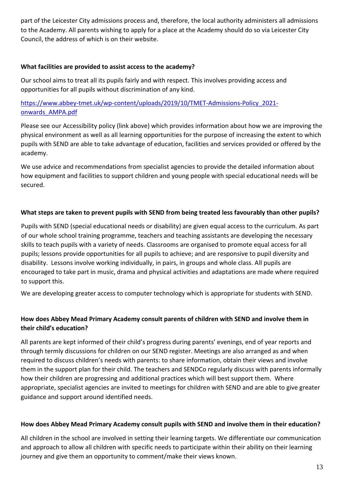part of the Leicester City admissions process and, therefore, the local authority administers all admissions to the Academy. All parents wishing to apply for a place at the Academy should do so via Leicester City Council, the address of which is on their website.

#### **What facilities are provided to assist access to the academy?**

Our school aims to treat all its pupils fairly and with respect. This involves providing access and opportunities for all pupils without discrimination of any kind.

[https://www.abbey-tmet.uk/wp-content/uploads/2019/10/TMET-Admissions-Policy\\_2021](https://www.abbey-tmet.uk/wp-content/uploads/2019/10/TMET-Admissions-Policy_2021-onwards_AMPA.pdf) [onwards\\_AMPA.pdf](https://www.abbey-tmet.uk/wp-content/uploads/2019/10/TMET-Admissions-Policy_2021-onwards_AMPA.pdf)

Please see our Accessibility policy (link above) which provides information about how we are improving the physical environment as well as all learning opportunities for the purpose of increasing the extent to which pupils with SEND are able to take advantage of education, facilities and services provided or offered by the academy.

We use advice and recommendations from specialist agencies to provide the detailed information about how equipment and facilities to support children and young people with special educational needs will be secured.

### **What steps are taken to prevent pupils with SEND from being treated less favourably than other pupils?**

Pupils with SEND (special educational needs or disability) are given equal access to the curriculum. As part of our whole school training programme, teachers and teaching assistants are developing the necessary skills to teach pupils with a variety of needs. Classrooms are organised to promote equal access for all pupils; lessons provide opportunities for all pupils to achieve; and are responsive to pupil diversity and disability. Lessons involve working individually, in pairs, in groups and whole class. All pupils are encouraged to take part in music, drama and physical activities and adaptations are made where required to support this.

We are developing greater access to computer technology which is appropriate for students with SEND.

## **How does Abbey Mead Primary Academy consult parents of children with SEND and involve them in their child's education?**

All parents are kept informed of their child's progress during parents' evenings, end of year reports and through termly discussions for children on our SEND register. Meetings are also arranged as and when required to discuss children's needs with parents: to share information, obtain their views and involve them in the support plan for their child. The teachers and SENDCo regularly discuss with parents informally how their children are progressing and additional practices which will best support them. Where appropriate, specialist agencies are invited to meetings for children with SEND and are able to give greater guidance and support around identified needs.

#### **How does Abbey Mead Primary Academy consult pupils with SEND and involve them in their education?**

All children in the school are involved in setting their learning targets. We differentiate our communication and approach to allow all children with specific needs to participate within their ability on their learning journey and give them an opportunity to comment/make their views known.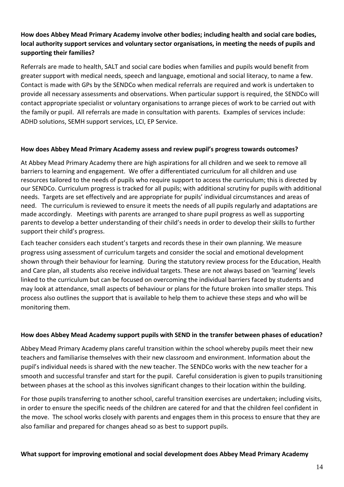## **How does Abbey Mead Primary Academy involve other bodies; including health and social care bodies, local authority support services and voluntary sector organisations, in meeting the needs of pupils and supporting their families?**

Referrals are made to health, SALT and social care bodies when families and pupils would benefit from greater support with medical needs, speech and language, emotional and social literacy, to name a few. Contact is made with GPs by the SENDCo when medical referrals are required and work is undertaken to provide all necessary assessments and observations. When particular support is required, the SENDCo will contact appropriate specialist or voluntary organisations to arrange pieces of work to be carried out with the family or pupil. All referrals are made in consultation with parents. Examples of services include: ADHD solutions, SEMH support services, LCI, EP Service.

#### **How does Abbey Mead Primary Academy assess and review pupil's progress towards outcomes?**

At Abbey Mead Primary Academy there are high aspirations for all children and we seek to remove all barriers to learning and engagement. We offer a differentiated curriculum for all children and use resources tailored to the needs of pupils who require support to access the curriculum; this is directed by our SENDCo. Curriculum progress is tracked for all pupils; with additional scrutiny for pupils with additional needs. Targets are set effectively and are appropriate for pupils' individual circumstances and areas of need. The curriculum is reviewed to ensure it meets the needs of all pupils regularly and adaptations are made accordingly. Meetings with parents are arranged to share pupil progress as well as supporting parents to develop a better understanding of their child's needs in order to develop their skills to further support their child's progress.

Each teacher considers each student's targets and records these in their own planning. We measure progress using assessment of curriculum targets and consider the social and emotional development shown through their behaviour for learning. During the statutory review process for the Education, Health and Care plan, all students also receive individual targets. These are not always based on 'learning' levels linked to the curriculum but can be focused on overcoming the individual barriers faced by students and may look at attendance, small aspects of behaviour or plans for the future broken into smaller steps. This process also outlines the support that is available to help them to achieve these steps and who will be monitoring them.

#### **How does Abbey Mead Academy support pupils with SEND in the transfer between phases of education?**

Abbey Mead Primary Academy plans careful transition within the school whereby pupils meet their new teachers and familiarise themselves with their new classroom and environment. Information about the pupil's individual needs is shared with the new teacher. The SENDCo works with the new teacher for a smooth and successful transfer and start for the pupil. Careful consideration is given to pupils transitioning between phases at the school as this involves significant changes to their location within the building.

For those pupils transferring to another school, careful transition exercises are undertaken; including visits, in order to ensure the specific needs of the children are catered for and that the children feel confident in the move. The school works closely with parents and engages them in this process to ensure that they are also familiar and prepared for changes ahead so as best to support pupils.

#### **What support for improving emotional and social development does Abbey Mead Primary Academy**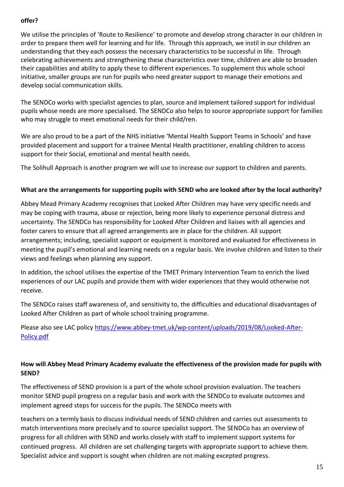#### **offer?**

We utilise the principles of 'Route to Resilience' to promote and develop strong character in our children in order to prepare them well for learning and for life. Through this approach, we instil in our children an understanding that they each possess the necessary characteristics to be successful in life. Through celebrating achievements and strengthening these characteristics over time, children are able to broaden their capabilities and ability to apply these to different experiences. To supplement this whole school initiative, smaller groups are run for pupils who need greater support to manage their emotions and develop social communication skills.

The SENDCo works with specialist agencies to plan, source and implement tailored support for individual pupils whose needs are more specialised. The SENDCo also helps to source appropriate support for families who may struggle to meet emotional needs for their child/ren.

We are also proud to be a part of the NHS initiative 'Mental Health Support Teams in Schools' and have provided placement and support for a trainee Mental Health practitioner, enabling children to access support for their Social, emotional and mental health needs.

The Solihull Approach is another program we will use to increase our support to children and parents.

#### **What are the arrangements for supporting pupils with SEND who are looked after by the local authority?**

Abbey Mead Primary Academy recognises that Looked After Children may have very specific needs and may be coping with trauma, abuse or rejection, being more likely to experience personal distress and uncertainty. The SENDCo has responsibility for Looked After Children and liaises with all agencies and foster carers to ensure that all agreed arrangements are in place for the children. All support arrangements; including, specialist support or equipment is monitored and evaluated for effectiveness in meeting the pupil's emotional and learning needs on a regular basis. We involve children and listen to their views and feelings when planning any support.

In addition, the school utilises the expertise of the TMET Primary Intervention Team to enrich the lived experiences of our LAC pupils and provide them with wider experiences that they would otherwise not receive.

The SENDCo raises staff awareness of, and sensitivity to, the difficulties and educational disadvantages of Looked After Children as part of whole school training programme.

Please also see LAC policy [https://www.abbey-tmet.uk/wp-content/uploads/2019/08/Looked-After-](https://www.abbey-tmet.uk/wp-content/uploads/2019/08/Looked-After-Policy.pdf)[Policy.pdf](https://www.abbey-tmet.uk/wp-content/uploads/2019/08/Looked-After-Policy.pdf)

### **How will Abbey Mead Primary Academy evaluate the effectiveness of the provision made for pupils with SEND?**

The effectiveness of SEND provision is a part of the whole school provision evaluation. The teachers monitor SEND pupil progress on a regular basis and work with the SENDCo to evaluate outcomes and implement agreed steps for success for the pupils. The SENDCo meets with

teachers on a termly basis to discuss individual needs of SEND children and carries out assessments to match interventions more precisely and to source specialist support. The SENDCo has an overview of progress for all children with SEND and works closely with staff to implement support systems for continued progress. All children are set challenging targets with appropriate support to achieve them. Specialist advice and support is sought when children are not making excepted progress.